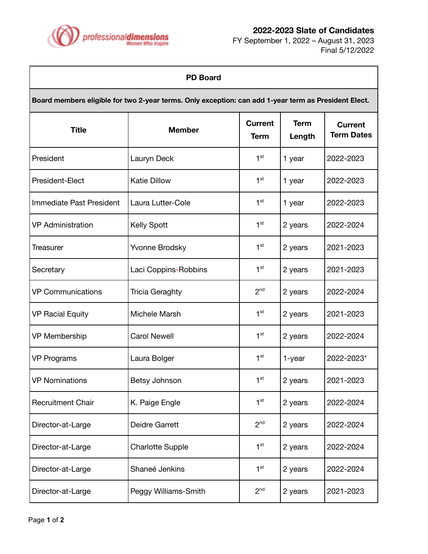

**2022-2023 Slate of Candidates**

FY September 1, 2022 – August 31, 2023 Final 5/12/2022

٦

| <b>PD Board</b>                                                                                      |                         |                               |                       |                                     |  |
|------------------------------------------------------------------------------------------------------|-------------------------|-------------------------------|-----------------------|-------------------------------------|--|
| Board members eligible for two 2-year terms. Only exception: can add 1-year term as President Elect. |                         |                               |                       |                                     |  |
| <b>Title</b>                                                                                         | <b>Member</b>           | <b>Current</b><br><b>Term</b> | <b>Term</b><br>Length | <b>Current</b><br><b>Term Dates</b> |  |
| President                                                                                            | Lauryn Deck             | 1 <sup>st</sup>               | 1 year                | 2022-2023                           |  |
| President-Elect                                                                                      | <b>Katie Dillow</b>     | 1 <sup>st</sup>               | 1 year                | 2022-2023                           |  |
| Immediate Past President                                                                             | Laura Lutter-Cole       | 1 <sup>st</sup>               | 1 year                | 2022-2023                           |  |
| <b>VP</b> Administration                                                                             | <b>Kelly Spott</b>      | 1 <sup>st</sup>               | 2 years               | 2022-2024                           |  |
| Treasurer                                                                                            | Yvonne Brodsky          | 1 <sup>st</sup>               | 2 years               | 2021-2023                           |  |
| Secretary                                                                                            | Laci Coppins-Robbins    | 1 <sup>st</sup>               | 2 years               | 2021-2023                           |  |
| <b>VP Communications</b>                                                                             | <b>Tricia Geraghty</b>  | 2 <sub>nd</sub>               | 2 years               | 2022-2024                           |  |
| <b>VP Racial Equity</b>                                                                              | Michele Marsh           | 1 <sup>st</sup>               | 2 years               | 2021-2023                           |  |
| VP Membership                                                                                        | <b>Carol Newell</b>     | 1 <sup>st</sup>               | 2 years               | 2022-2024                           |  |
| <b>VP Programs</b>                                                                                   | Laura Bolger            | 1 <sup>st</sup>               | 1-year                | 2022-2023*                          |  |
| <b>VP Nominations</b>                                                                                | Betsy Johnson           | 1 <sup>st</sup>               | 2 years               | 2021-2023                           |  |
| <b>Recruitment Chair</b>                                                                             | K. Paige Engle          | 1 <sup>st</sup>               | 2 years               | 2022-2024                           |  |
| Director-at-Large                                                                                    | <b>Deidre Garrett</b>   | 2 <sub>nd</sub>               | 2 years               | 2022-2024                           |  |
| Director-at-Large                                                                                    | <b>Charlotte Supple</b> | 1 <sup>st</sup>               | 2 years               | 2022-2024                           |  |
| Director-at-Large                                                                                    | Shaneé Jenkins          | 1 <sup>st</sup>               | 2 years               | 2022-2024                           |  |
| Director-at-Large                                                                                    | Peggy Williams-Smith    | 2 <sup>nd</sup>               | 2 years               | 2021-2023                           |  |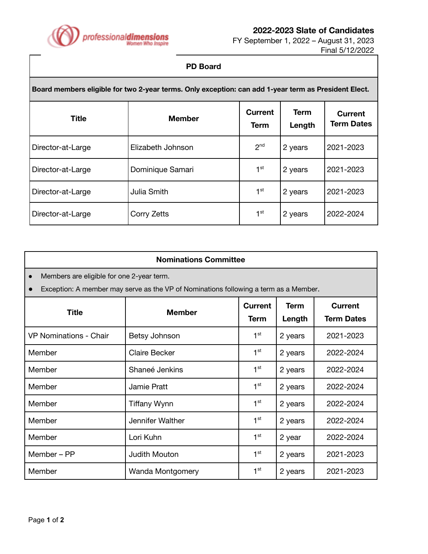

**2022-2023 Slate of Candidates**

FY September 1, 2022 – August 31, 2023 Final 5/12/2022

## **PD Board**

| Board members eligible for two 2-year terms. Only exception: can add 1-year term as President Elect. |                   |                        |                       |                                     |
|------------------------------------------------------------------------------------------------------|-------------------|------------------------|-----------------------|-------------------------------------|
| <b>Title</b>                                                                                         | <b>Member</b>     | <b>Current</b><br>Term | <b>Term</b><br>Length | <b>Current</b><br><b>Term Dates</b> |
| Director-at-Large                                                                                    | Elizabeth Johnson | 2 <sup>nd</sup>        | 2 years               | 2021-2023                           |
| Director-at-Large                                                                                    | Dominique Samari  | 1 <sup>st</sup>        | 2 years               | 2021-2023                           |
| Director-at-Large                                                                                    | Julia Smith       | 1 <sup>st</sup>        | 2 years               | 2021-2023                           |
| Director-at-Large                                                                                    | Corry Zetts       | 1 <sup>st</sup>        | 2 years               | 2022-2024                           |

| <b>Nominations Committee</b>                                                         |                      |                 |             |                   |  |
|--------------------------------------------------------------------------------------|----------------------|-----------------|-------------|-------------------|--|
| Members are eligible for one 2-year term.<br>$\bullet$                               |                      |                 |             |                   |  |
| Exception: A member may serve as the VP of Nominations following a term as a Member. |                      |                 |             |                   |  |
| <b>Title</b>                                                                         | <b>Member</b>        | Current         | <b>Term</b> | <b>Current</b>    |  |
|                                                                                      |                      | <b>Term</b>     | Length      | <b>Term Dates</b> |  |
| <b>VP Nominations - Chair</b>                                                        | Betsy Johnson        | 1 <sup>st</sup> | 2 years     | 2021-2023         |  |
| Member                                                                               | <b>Claire Becker</b> | 1 <sup>st</sup> | 2 years     | 2022-2024         |  |
| Member                                                                               | Shaneé Jenkins       | 1 <sup>st</sup> | 2 years     | 2022-2024         |  |
| Member                                                                               | Jamie Pratt          | 1 <sup>st</sup> | 2 years     | 2022-2024         |  |
| Member                                                                               | <b>Tiffany Wynn</b>  | 1 <sup>st</sup> | 2 years     | 2022-2024         |  |
| Member                                                                               | Jennifer Walther     | $1^{\rm st}$    | 2 years     | 2022-2024         |  |
| Member                                                                               | Lori Kuhn            | 1 <sup>st</sup> | 2 year      | 2022-2024         |  |
| Member - PP                                                                          | Judith Mouton        | 1 <sup>st</sup> | 2 years     | 2021-2023         |  |
| Member                                                                               | Wanda Montgomery     | 1 <sup>st</sup> | 2 years     | 2021-2023         |  |